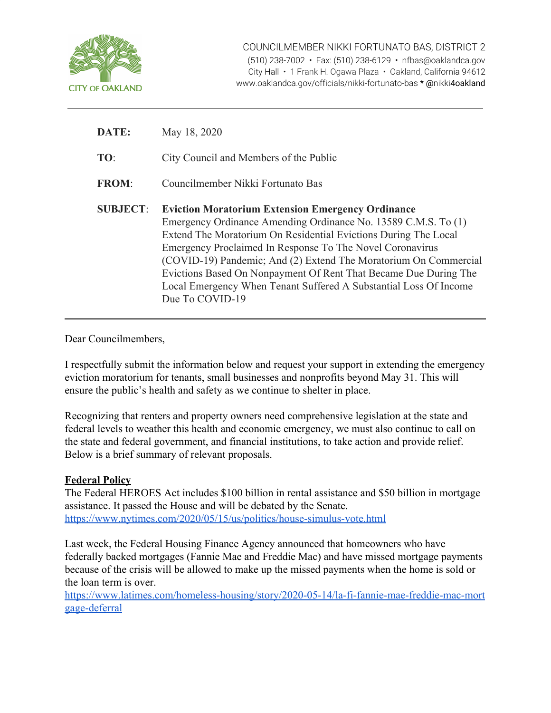

| DATE:           | May 18, 2020                                                                                                                                                                                                                                                                                                                                                                                                                                                                               |
|-----------------|--------------------------------------------------------------------------------------------------------------------------------------------------------------------------------------------------------------------------------------------------------------------------------------------------------------------------------------------------------------------------------------------------------------------------------------------------------------------------------------------|
| TO:             | City Council and Members of the Public                                                                                                                                                                                                                                                                                                                                                                                                                                                     |
| <b>FROM:</b>    | Councilmember Nikki Fortunato Bas                                                                                                                                                                                                                                                                                                                                                                                                                                                          |
| <b>SUBJECT:</b> | <b>Eviction Moratorium Extension Emergency Ordinance</b><br>Emergency Ordinance Amending Ordinance No. 13589 C.M.S. To (1)<br>Extend The Moratorium On Residential Evictions During The Local<br>Emergency Proclaimed In Response To The Novel Coronavirus<br>(COVID-19) Pandemic; And (2) Extend The Moratorium On Commercial<br>Evictions Based On Nonpayment Of Rent That Became Due During The<br>Local Emergency When Tenant Suffered A Substantial Loss Of Income<br>Due To COVID-19 |

Dear Councilmembers,

I respectfully submit the information below and request your support in extending the emergency eviction moratorium for tenants, small businesses and nonprofits beyond May 31. This will ensure the public's health and safety as we continue to shelter in place.

Recognizing that renters and property owners need comprehensive legislation at the state and federal levels to weather this health and economic emergency, we must also continue to call on the state and federal government, and financial institutions, to take action and provide relief. Below is a brief summary of relevant proposals.

## **Federal Policy**

The Federal HEROES Act includes \$100 billion in rental assistance and \$50 billion in mortgage assistance. It passed the House and will be debated by the Senate. <https://www.nytimes.com/2020/05/15/us/politics/house-simulus-vote.html>

Last week, the Federal Housing Finance Agency announced that homeowners who have federally backed mortgages (Fannie Mae and Freddie Mac) and have missed mortgage payments because of the crisis will be allowed to make up the missed payments when the home is sold or the loan term is over.

[https://www.latimes.com/homeless-housing/story/2020-05-14/la-fi-fannie-mae-freddie-mac-mort](https://urldefense.proofpoint.com/v2/url?u=https-3A__www.latimes.com_homeless-2Dhousing_story_2020-2D05-2D14_la-2Dfi-2Dfannie-2Dmae-2Dfreddie-2Dmac-2Dmortgage-2Ddeferral&d=DwMFJg&c=6ZboKdJzR8nZOqwBjhPnCw&r=S2p1TqE_PLFjZrJ0dxb2lIYMVOoOMGPZ-wRAtapOspk&m=3zssYpRW-BDcyh2rir003W04LAOMFbgIa5ih3P96ahE&s=xbtgQq7sj2yr0ibxXf93K-uA8oxcpt54Yg0PahbSIe8&e=) [gage-deferral](https://urldefense.proofpoint.com/v2/url?u=https-3A__www.latimes.com_homeless-2Dhousing_story_2020-2D05-2D14_la-2Dfi-2Dfannie-2Dmae-2Dfreddie-2Dmac-2Dmortgage-2Ddeferral&d=DwMFJg&c=6ZboKdJzR8nZOqwBjhPnCw&r=S2p1TqE_PLFjZrJ0dxb2lIYMVOoOMGPZ-wRAtapOspk&m=3zssYpRW-BDcyh2rir003W04LAOMFbgIa5ih3P96ahE&s=xbtgQq7sj2yr0ibxXf93K-uA8oxcpt54Yg0PahbSIe8&e=)